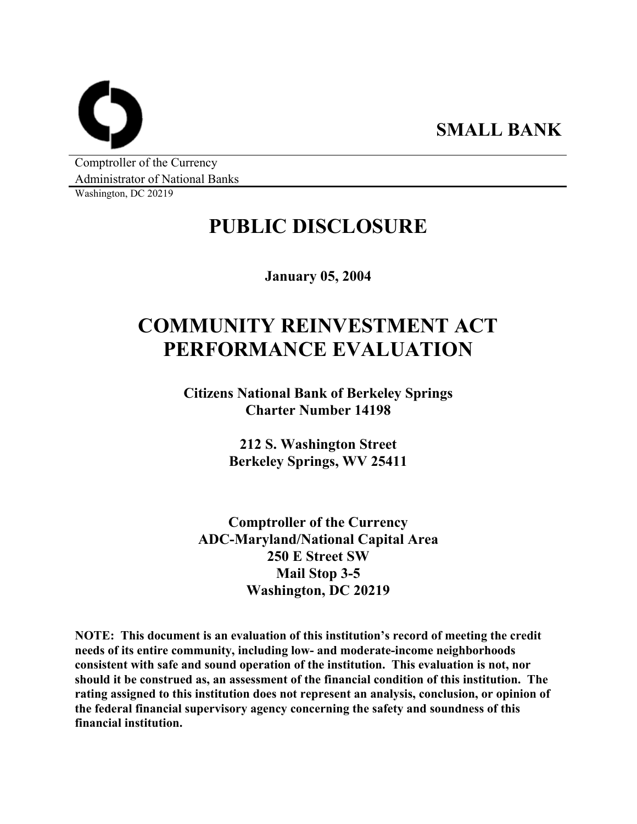**SMALL BANK** 

Comptroller of the Currency Administrator of National Banks

Washington, DC 20219

# **PUBLIC DISCLOSURE**

**January 05, 2004** 

# **COMMUNITY REINVESTMENT ACT PERFORMANCE EVALUATION**

**Citizens National Bank of Berkeley Springs Charter Number 14198** 

> **212 S. Washington Street Berkeley Springs, WV 25411**

**Comptroller of the Currency ADC-Maryland/National Capital Area 250 E Street SW Mail Stop 3-5 Washington, DC 20219** 

**NOTE: This document is an evaluation of this institution's record of meeting the credit needs of its entire community, including low- and moderate-income neighborhoods consistent with safe and sound operation of the institution. This evaluation is not, nor should it be construed as, an assessment of the financial condition of this institution. The rating assigned to this institution does not represent an analysis, conclusion, or opinion of the federal financial supervisory agency concerning the safety and soundness of this financial institution.**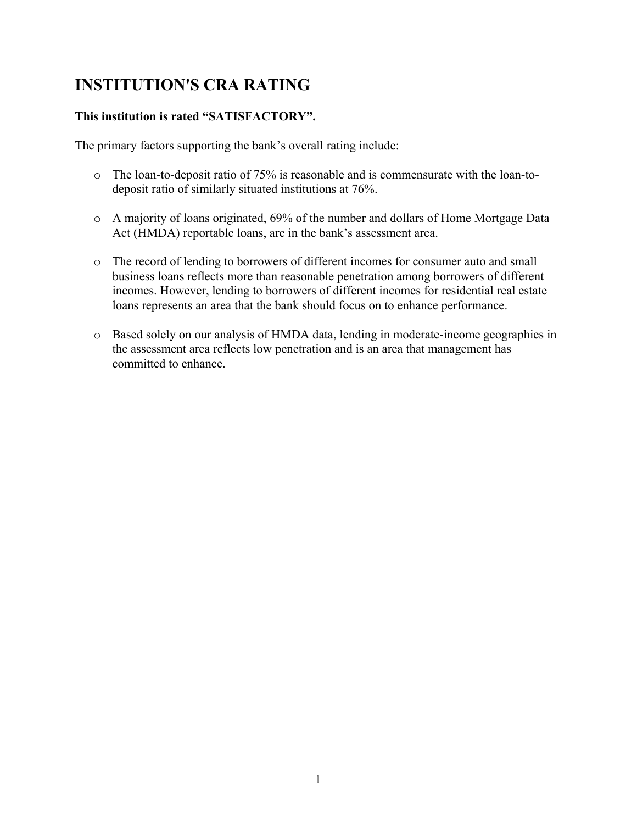# **INSTITUTION'S CRA RATING**

### **This institution is rated "SATISFACTORY".**

The primary factors supporting the bank's overall rating include:

- o The loan-to-deposit ratio of 75% is reasonable and is commensurate with the loan-todeposit ratio of similarly situated institutions at 76%.
- o A majority of loans originated, 69% of the number and dollars of Home Mortgage Data Act (HMDA) reportable loans, are in the bank's assessment area.
- o The record of lending to borrowers of different incomes for consumer auto and small business loans reflects more than reasonable penetration among borrowers of different incomes. However, lending to borrowers of different incomes for residential real estate loans represents an area that the bank should focus on to enhance performance.
- o Based solely on our analysis of HMDA data, lending in moderate-income geographies in the assessment area reflects low penetration and is an area that management has committed to enhance.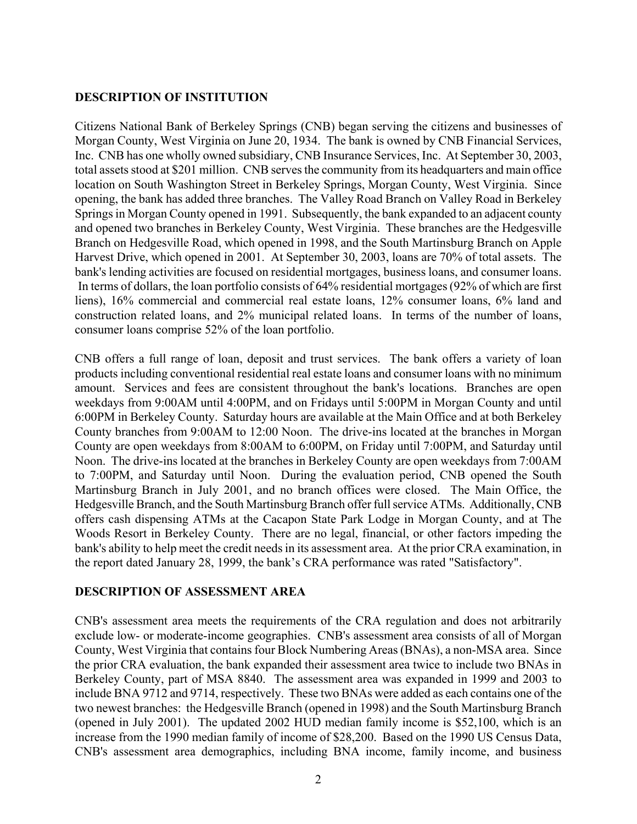### **DESCRIPTION OF INSTITUTION**

Citizens National Bank of Berkeley Springs (CNB) began serving the citizens and businesses of Morgan County, West Virginia on June 20, 1934. The bank is owned by CNB Financial Services, Inc. CNB has one wholly owned subsidiary, CNB Insurance Services, Inc. At September 30, 2003, total assets stood at \$201 million. CNB serves the community from its headquarters and main office location on South Washington Street in Berkeley Springs, Morgan County, West Virginia. Since opening, the bank has added three branches. The Valley Road Branch on Valley Road in Berkeley Springs in Morgan County opened in 1991. Subsequently, the bank expanded to an adjacent county and opened two branches in Berkeley County, West Virginia. These branches are the Hedgesville Branch on Hedgesville Road, which opened in 1998, and the South Martinsburg Branch on Apple Harvest Drive, which opened in 2001. At September 30, 2003, loans are 70% of total assets. The bank's lending activities are focused on residential mortgages, business loans, and consumer loans. In terms of dollars, the loan portfolio consists of 64% residential mortgages (92% of which are first liens), 16% commercial and commercial real estate loans, 12% consumer loans, 6% land and construction related loans, and 2% municipal related loans. In terms of the number of loans, consumer loans comprise 52% of the loan portfolio.

CNB offers a full range of loan, deposit and trust services. The bank offers a variety of loan products including conventional residential real estate loans and consumer loans with no minimum amount. Services and fees are consistent throughout the bank's locations. Branches are open weekdays from 9:00AM until 4:00PM, and on Fridays until 5:00PM in Morgan County and until 6:00PM in Berkeley County. Saturday hours are available at the Main Office and at both Berkeley County branches from 9:00AM to 12:00 Noon. The drive-ins located at the branches in Morgan County are open weekdays from 8:00AM to 6:00PM, on Friday until 7:00PM, and Saturday until Noon. The drive-ins located at the branches in Berkeley County are open weekdays from 7:00AM to 7:00PM, and Saturday until Noon. During the evaluation period, CNB opened the South Martinsburg Branch in July 2001, and no branch offices were closed. The Main Office, the Hedgesville Branch, and the South Martinsburg Branch offer full service ATMs. Additionally, CNB offers cash dispensing ATMs at the Cacapon State Park Lodge in Morgan County, and at The Woods Resort in Berkeley County. There are no legal, financial, or other factors impeding the bank's ability to help meet the credit needs in its assessment area. At the prior CRA examination, in the report dated January 28, 1999, the bank's CRA performance was rated "Satisfactory".

### **DESCRIPTION OF ASSESSMENT AREA**

CNB's assessment area meets the requirements of the CRA regulation and does not arbitrarily exclude low- or moderate-income geographies. CNB's assessment area consists of all of Morgan County, West Virginia that contains four Block Numbering Areas (BNAs), a non-MSA area. Since the prior CRA evaluation, the bank expanded their assessment area twice to include two BNAs in Berkeley County, part of MSA 8840. The assessment area was expanded in 1999 and 2003 to include BNA 9712 and 9714, respectively. These two BNAs were added as each contains one of the two newest branches: the Hedgesville Branch (opened in 1998) and the South Martinsburg Branch (opened in July 2001). The updated 2002 HUD median family income is \$52,100, which is an increase from the 1990 median family of income of \$28,200. Based on the 1990 US Census Data, CNB's assessment area demographics, including BNA income, family income, and business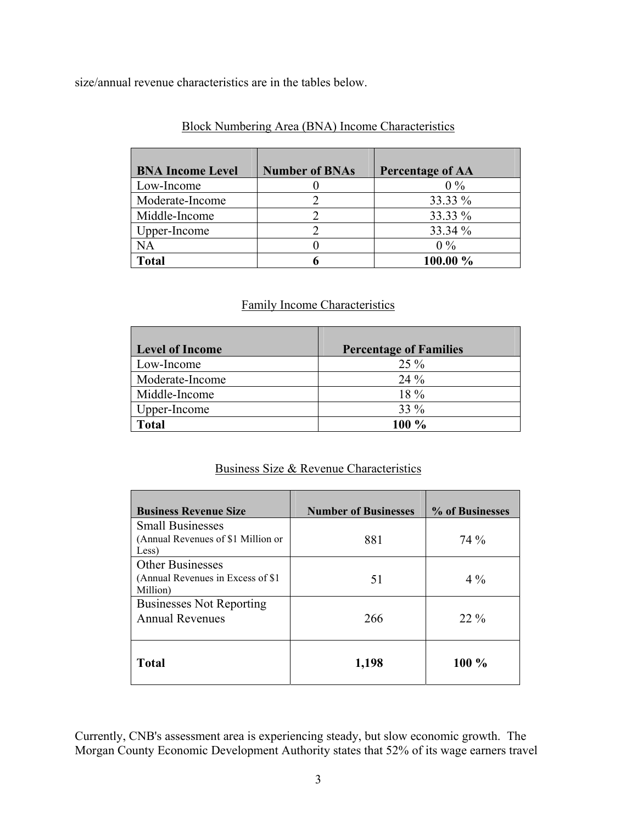size/annual revenue characteristics are in the tables below.

| <b>BNA Income Level</b> | <b>Number of BNAs</b> | <b>Percentage of AA</b> |
|-------------------------|-----------------------|-------------------------|
| Low-Income              |                       | $0\%$                   |
| Moderate-Income         |                       | 33.33 %                 |
| Middle-Income           |                       | 33.33 %                 |
| Upper-Income            |                       | 33.34 %                 |
| <b>NA</b>               |                       | $0\%$                   |
| Total                   |                       | 100.00 %                |

### Block Numbering Area (BNA) Income Characteristics

# Family Income Characteristics

| <b>Level of Income</b> | <b>Percentage of Families</b> |
|------------------------|-------------------------------|
| Low-Income             | $25\%$                        |
| Moderate-Income        | 24 %                          |
| Middle-Income          | $18\%$                        |
| Upper-Income           | $33\%$                        |
| <b>Total</b>           | 100 %                         |

# Business Size & Revenue Characteristics

| <b>Business Revenue Size</b>                                           | <b>Number of Businesses</b> | % of Businesses |
|------------------------------------------------------------------------|-----------------------------|-----------------|
| <b>Small Businesses</b><br>(Annual Revenues of \$1 Million or<br>Less) | 881                         | 74 %            |
| Other Businesses<br>(Annual Revenues in Excess of \$1)<br>Million)     | 51                          | $4\%$           |
| <b>Businesses Not Reporting</b><br><b>Annual Revenues</b>              | 266                         | $22\%$          |
| <b>Total</b>                                                           | 1,198                       | $100\%$         |

Currently, CNB's assessment area is experiencing steady, but slow economic growth. The Morgan County Economic Development Authority states that 52% of its wage earners travel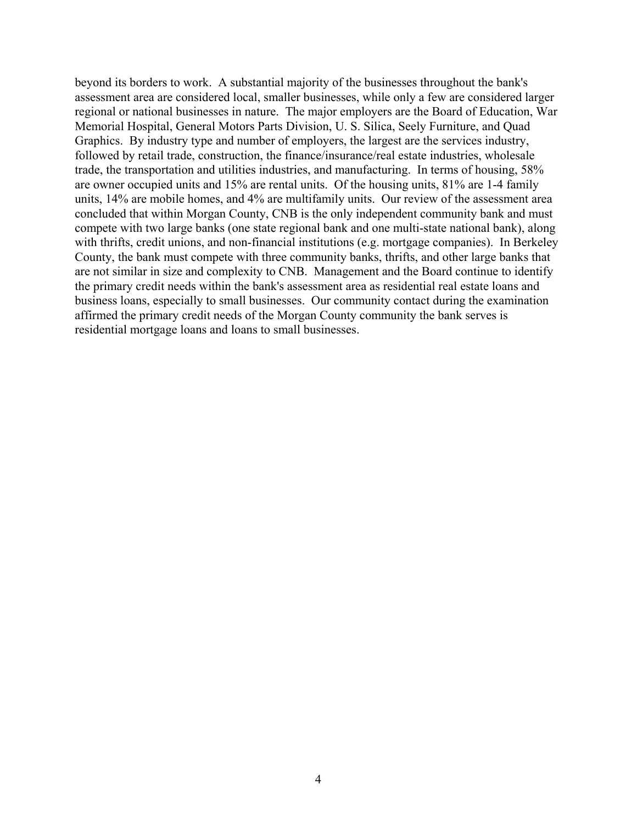beyond its borders to work. A substantial majority of the businesses throughout the bank's assessment area are considered local, smaller businesses, while only a few are considered larger regional or national businesses in nature. The major employers are the Board of Education, War Memorial Hospital, General Motors Parts Division, U. S. Silica, Seely Furniture, and Quad Graphics. By industry type and number of employers, the largest are the services industry, followed by retail trade, construction, the finance/insurance/real estate industries, wholesale trade, the transportation and utilities industries, and manufacturing. In terms of housing, 58% are owner occupied units and 15% are rental units. Of the housing units, 81% are 1-4 family units, 14% are mobile homes, and 4% are multifamily units. Our review of the assessment area concluded that within Morgan County, CNB is the only independent community bank and must compete with two large banks (one state regional bank and one multi-state national bank), along with thrifts, credit unions, and non-financial institutions (e.g. mortgage companies). In Berkeley County, the bank must compete with three community banks, thrifts, and other large banks that are not similar in size and complexity to CNB. Management and the Board continue to identify the primary credit needs within the bank's assessment area as residential real estate loans and business loans, especially to small businesses. Our community contact during the examination affirmed the primary credit needs of the Morgan County community the bank serves is residential mortgage loans and loans to small businesses.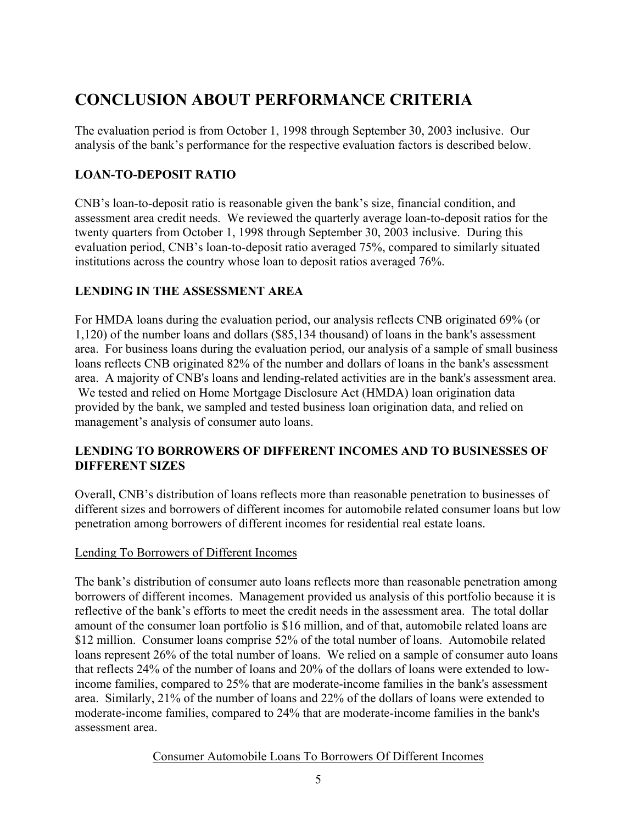# **CONCLUSION ABOUT PERFORMANCE CRITERIA**

The evaluation period is from October 1, 1998 through September 30, 2003 inclusive. Our analysis of the bank's performance for the respective evaluation factors is described below.

# **LOAN-TO-DEPOSIT RATIO**

CNB's loan-to-deposit ratio is reasonable given the bank's size, financial condition, and assessment area credit needs. We reviewed the quarterly average loan-to-deposit ratios for the twenty quarters from October 1, 1998 through September 30, 2003 inclusive. During this evaluation period, CNB's loan-to-deposit ratio averaged 75%, compared to similarly situated institutions across the country whose loan to deposit ratios averaged 76%.

# **LENDING IN THE ASSESSMENT AREA**

For HMDA loans during the evaluation period, our analysis reflects CNB originated 69% (or 1,120) of the number loans and dollars (\$85,134 thousand) of loans in the bank's assessment area. For business loans during the evaluation period, our analysis of a sample of small business loans reflects CNB originated 82% of the number and dollars of loans in the bank's assessment area. A majority of CNB's loans and lending-related activities are in the bank's assessment area. We tested and relied on Home Mortgage Disclosure Act (HMDA) loan origination data provided by the bank, we sampled and tested business loan origination data, and relied on management's analysis of consumer auto loans.

# **LENDING TO BORROWERS OF DIFFERENT INCOMES AND TO BUSINESSES OF DIFFERENT SIZES**

Overall, CNB's distribution of loans reflects more than reasonable penetration to businesses of different sizes and borrowers of different incomes for automobile related consumer loans but low penetration among borrowers of different incomes for residential real estate loans.

# Lending To Borrowers of Different Incomes

The bank's distribution of consumer auto loans reflects more than reasonable penetration among borrowers of different incomes. Management provided us analysis of this portfolio because it is reflective of the bank's efforts to meet the credit needs in the assessment area. The total dollar amount of the consumer loan portfolio is \$16 million, and of that, automobile related loans are \$12 million. Consumer loans comprise 52% of the total number of loans. Automobile related loans represent 26% of the total number of loans. We relied on a sample of consumer auto loans that reflects 24% of the number of loans and 20% of the dollars of loans were extended to lowincome families, compared to 25% that are moderate-income families in the bank's assessment area. Similarly, 21% of the number of loans and 22% of the dollars of loans were extended to moderate-income families, compared to 24% that are moderate-income families in the bank's assessment area.

Consumer Automobile Loans To Borrowers Of Different Incomes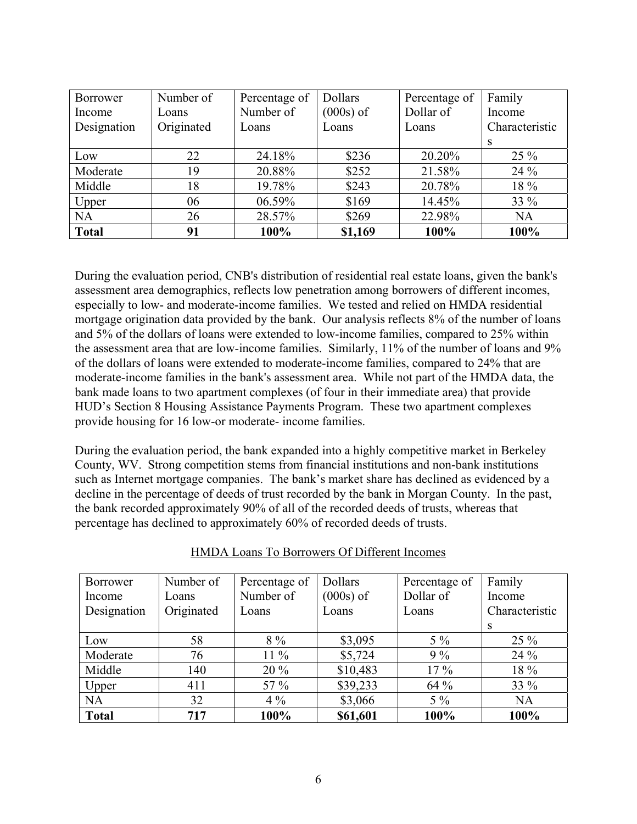| <b>Borrower</b> | Number of  | Percentage of | <b>Dollars</b> | Percentage of | Family         |
|-----------------|------------|---------------|----------------|---------------|----------------|
| Income          | Loans      | Number of     | $(000s)$ of    | Dollar of     | Income         |
| Designation     | Originated | Loans         | Loans          | Loans         | Characteristic |
|                 |            |               |                |               | S              |
| Low             | 22         | 24.18%        | \$236          | 20.20%        | $25\%$         |
| Moderate        | 19         | 20.88%        | \$252          | 21.58%        | 24 %           |
| Middle          | 18         | 19.78%        | \$243          | 20.78%        | 18 %           |
| Upper           | 06         | 06.59%        | \$169          | 14.45%        | 33 %           |
| <b>NA</b>       | 26         | 28.57%        | \$269          | 22.98%        | <b>NA</b>      |
| <b>Total</b>    | 91         | $100\%$       | \$1,169        | 100%          | 100%           |

During the evaluation period, CNB's distribution of residential real estate loans, given the bank's assessment area demographics, reflects low penetration among borrowers of different incomes, especially to low- and moderate-income families. We tested and relied on HMDA residential mortgage origination data provided by the bank. Our analysis reflects 8% of the number of loans and 5% of the dollars of loans were extended to low-income families, compared to 25% within the assessment area that are low-income families. Similarly, 11% of the number of loans and 9% of the dollars of loans were extended to moderate-income families, compared to 24% that are moderate-income families in the bank's assessment area. While not part of the HMDA data, the bank made loans to two apartment complexes (of four in their immediate area) that provide HUD's Section 8 Housing Assistance Payments Program. These two apartment complexes provide housing for 16 low-or moderate- income families.

During the evaluation period, the bank expanded into a highly competitive market in Berkeley County, WV. Strong competition stems from financial institutions and non-bank institutions such as Internet mortgage companies. The bank's market share has declined as evidenced by a decline in the percentage of deeds of trust recorded by the bank in Morgan County. In the past, the bank recorded approximately 90% of all of the recorded deeds of trusts, whereas that percentage has declined to approximately 60% of recorded deeds of trusts.

| Borrower     | Number of  | Percentage of | Dollars     | Percentage of | Family         |
|--------------|------------|---------------|-------------|---------------|----------------|
| Income       | Loans      | Number of     | $(000s)$ of | Dollar of     | Income         |
| Designation  | Originated | Loans         | Loans       | Loans         | Characteristic |
|              |            |               |             |               | S              |
| Low          | 58         | $8\%$         | \$3,095     | $5\%$         | $25\%$         |
| Moderate     | 76         | $11\%$        | \$5,724     | $9\%$         | 24 %           |
| Middle       | 140        | $20\%$        | \$10,483    | $17\%$        | 18 %           |
| Upper        | 411        | 57 $%$        | \$39,233    | 64 %          | 33 %           |
| <b>NA</b>    | 32         | $4\%$         | \$3,066     | $5\%$         | <b>NA</b>      |
| <b>Total</b> | 717        | 100%          | \$61,601    | 100%          | 100%           |

| <b>HMDA Loans To Borrowers Of Different Incomes</b> |
|-----------------------------------------------------|
|-----------------------------------------------------|